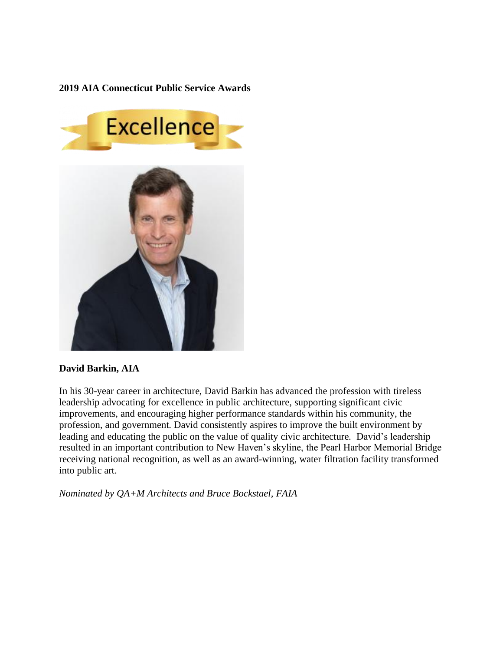**2019 AIA Connecticut Public Service Awards**



## **David Barkin, AIA**

In his 30-year career in architecture, David Barkin has advanced the profession with tireless leadership advocating for excellence in public architecture, supporting significant civic improvements, and encouraging higher performance standards within his community, the profession, and government. David consistently aspires to improve the built environment by leading and educating the public on the value of quality civic architecture. David's leadership resulted in an important contribution to New Haven's skyline, the Pearl Harbor Memorial Bridge receiving national recognition, as well as an award-winning, water filtration facility transformed into public art.

*Nominated by QA+M Architects and Bruce Bockstael, FAIA*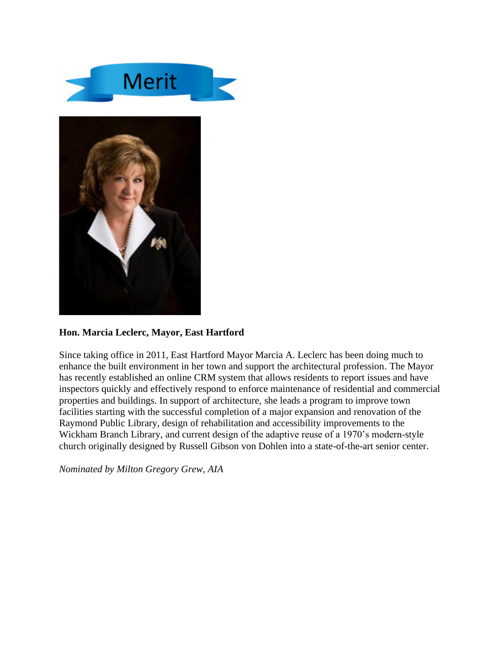



## **Hon. Marcia Leclerc, Mayor, East Hartford**

Since taking office in 2011, East Hartford Mayor Marcia A. Leclerc has been doing much to enhance the built environment in her town and support the architectural profession. The Mayor has recently established an online CRM system that allows residents to report issues and have inspectors quickly and effectively respond to enforce maintenance of residential and commercial properties and buildings. In support of architecture, she leads a program to improve town facilities starting with the successful completion of a major expansion and renovation of the Raymond Public Library, design of rehabilitation and accessibility improvements to the Wickham Branch Library, and current design of the adaptive reuse of a 1970's modern-style church originally designed by Russell Gibson von Dohlen into a state-of-the-art senior center.

*Nominated by Milton Gregory Grew, AIA*